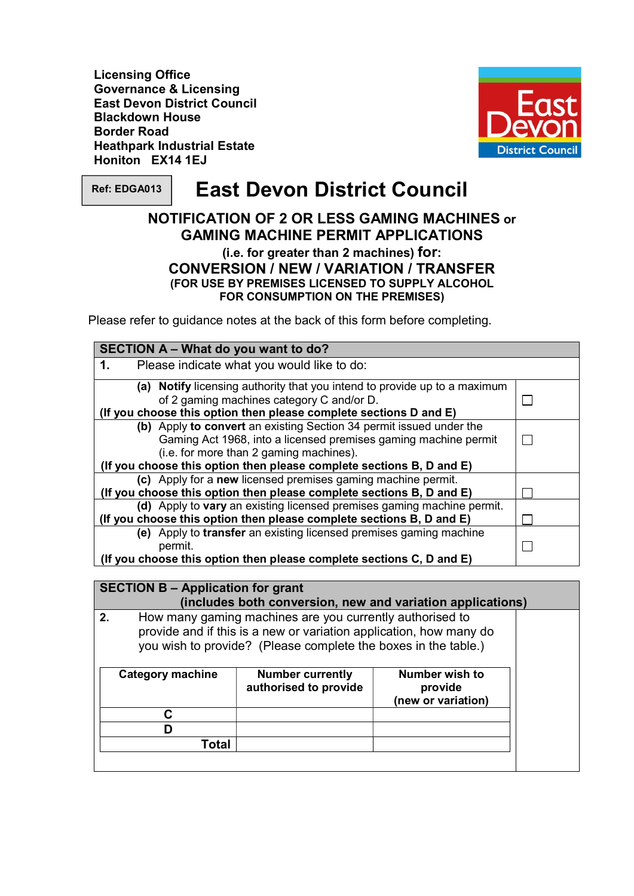Governance & Licensing East Devon District Council Blackdown House Border Road Heathpark Industrial Estate Honiton EX14 1EJ Licensing Office



Ref: EDGA013

# $\mathsf{R}$ ef: EDGA013  $\parallel~$  East Devon District Council

## NOTIFICATION OF 2 OR LESS GAMING MACHINES or GAMING MACHINE PERMIT APPLICATIONS

 (i.e. for greater than 2 machines) for: CONVERSION / NEW / VARIATION / TRANSFER FOR CONSUMPTION ON THE PREMISES) (FOR USE BY PREMISES LICENSED TO SUPPLY ALCOHOL

Please refer to guidance notes at the back of this form before completing.

| SECTION A - What do you want to do?                                       |  |
|---------------------------------------------------------------------------|--|
| Please indicate what you would like to do:<br>1.                          |  |
| (a) Notify licensing authority that you intend to provide up to a maximum |  |
| of 2 gaming machines category C and/or D.                                 |  |
| (If you choose this option then please complete sections D and E)         |  |
| (b) Apply to convert an existing Section 34 permit issued under the       |  |
| Gaming Act 1968, into a licensed premises gaming machine permit           |  |
| (i.e. for more than 2 gaming machines).                                   |  |
| (If you choose this option then please complete sections B, D and E)      |  |
| (c) Apply for a new licensed premises gaming machine permit.              |  |
| (If you choose this option then please complete sections B, D and E)      |  |
| (d) Apply to vary an existing licensed premises gaming machine permit.    |  |
| (If you choose this option then please complete sections B, D and E)      |  |
| (e) Apply to transfer an existing licensed premises gaming machine        |  |
| permit.                                                                   |  |
| (If you choose this option then please complete sections C, D and E)      |  |

| <b>SECTION B - Application for grant</b><br>(includes both conversion, new and variation applications) |                                                                                                                                                                                                  |                                                  |                                                        |  |
|--------------------------------------------------------------------------------------------------------|--------------------------------------------------------------------------------------------------------------------------------------------------------------------------------------------------|--------------------------------------------------|--------------------------------------------------------|--|
| 2.                                                                                                     | How many gaming machines are you currently authorised to<br>provide and if this is a new or variation application, how many do<br>you wish to provide? (Please complete the boxes in the table.) |                                                  |                                                        |  |
|                                                                                                        | <b>Category machine</b>                                                                                                                                                                          | <b>Number currently</b><br>authorised to provide | <b>Number wish to</b><br>provide<br>(new or variation) |  |
|                                                                                                        | C                                                                                                                                                                                                |                                                  |                                                        |  |
|                                                                                                        |                                                                                                                                                                                                  |                                                  |                                                        |  |
|                                                                                                        | Total                                                                                                                                                                                            |                                                  |                                                        |  |
|                                                                                                        |                                                                                                                                                                                                  |                                                  |                                                        |  |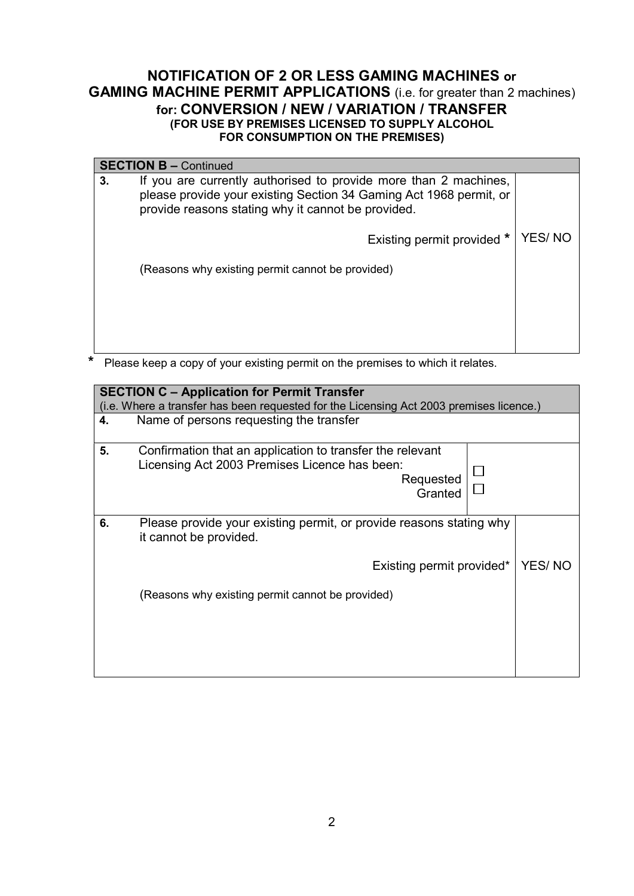|                                                                                                                                                                                                    | <b>SECTION B - Continued</b>                     |        |
|----------------------------------------------------------------------------------------------------------------------------------------------------------------------------------------------------|--------------------------------------------------|--------|
| If you are currently authorised to provide more than 2 machines,<br>3.<br>please provide your existing Section 34 Gaming Act 1968 permit, or<br>provide reasons stating why it cannot be provided. |                                                  |        |
|                                                                                                                                                                                                    | Existing permit provided *                       | YES/NO |
|                                                                                                                                                                                                    | (Reasons why existing permit cannot be provided) |        |
|                                                                                                                                                                                                    |                                                  |        |
|                                                                                                                                                                                                    |                                                  |        |

\* Please keep a copy of your existing permit on the premises to which it relates.

| <b>SECTION C - Application for Permit Transfer</b><br>(i.e. Where a transfer has been requested for the Licensing Act 2003 premises licence.) |                                                                                                                                    |  |        |
|-----------------------------------------------------------------------------------------------------------------------------------------------|------------------------------------------------------------------------------------------------------------------------------------|--|--------|
| 4.                                                                                                                                            | Name of persons requesting the transfer                                                                                            |  |        |
| 5.                                                                                                                                            | Confirmation that an application to transfer the relevant<br>Licensing Act 2003 Premises Licence has been:<br>Requested<br>Granted |  |        |
| 6.                                                                                                                                            | Please provide your existing permit, or provide reasons stating why<br>it cannot be provided.                                      |  |        |
|                                                                                                                                               | Existing permit provided*                                                                                                          |  | YES/NO |
|                                                                                                                                               | (Reasons why existing permit cannot be provided)                                                                                   |  |        |
|                                                                                                                                               |                                                                                                                                    |  |        |
|                                                                                                                                               |                                                                                                                                    |  |        |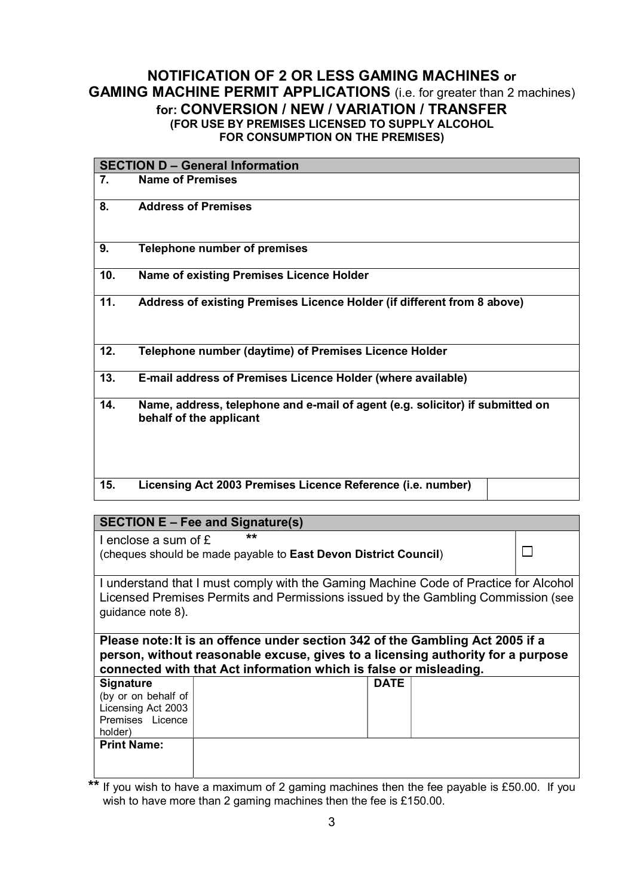|     | <b>SECTION D - General Information</b>                                                                   |
|-----|----------------------------------------------------------------------------------------------------------|
| 7.  | <b>Name of Premises</b>                                                                                  |
| 8.  | <b>Address of Premises</b>                                                                               |
| 9.  | <b>Telephone number of premises</b>                                                                      |
| 10. | Name of existing Premises Licence Holder                                                                 |
| 11. | Address of existing Premises Licence Holder (if different from 8 above)                                  |
| 12. | Telephone number (daytime) of Premises Licence Holder                                                    |
| 13. | E-mail address of Premises Licence Holder (where available)                                              |
| 14. | Name, address, telephone and e-mail of agent (e.g. solicitor) if submitted on<br>behalf of the applicant |
| 15. | Licensing Act 2003 Premises Licence Reference (i.e. number)                                              |

#### SECTION E – Fee and Signature(s)

|                                                                                                                                                                                                                                       | $\mathsf{S}$ DEVITURE – Fee and Signature(S)                             |             |  |  |  |
|---------------------------------------------------------------------------------------------------------------------------------------------------------------------------------------------------------------------------------------|--------------------------------------------------------------------------|-------------|--|--|--|
| I enclose a sum of $E$                                                                                                                                                                                                                | $***$<br>(cheques should be made payable to East Devon District Council) |             |  |  |  |
| I understand that I must comply with the Gaming Machine Code of Practice for Alcohol<br>Licensed Premises Permits and Permissions issued by the Gambling Commission (see<br>guidance note 8).                                         |                                                                          |             |  |  |  |
| Please note: It is an offence under section 342 of the Gambling Act 2005 if a<br>person, without reasonable excuse, gives to a licensing authority for a purpose<br>connected with that Act information which is false or misleading. |                                                                          |             |  |  |  |
| <b>Signature</b><br>(by or on behalf of<br>Licensing Act 2003<br>Premises Licence<br>holder)                                                                                                                                          |                                                                          | <b>DATE</b> |  |  |  |
| <b>Print Name:</b>                                                                                                                                                                                                                    |                                                                          |             |  |  |  |

\*\* If you wish to have a maximum of 2 gaming machines then the fee payable is £50.00. If you wish to have more than 2 gaming machines then the fee is £150.00.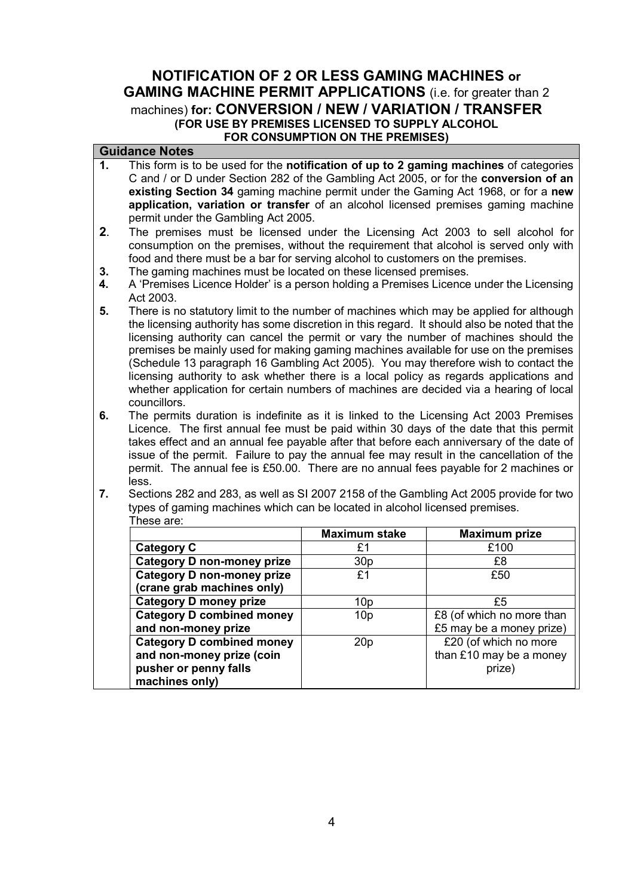#### Guidance Notes

- 1. This form is to be used for the notification of up to 2 gaming machines of categories C and / or D under Section 282 of the Gambling Act 2005, or for the **conversion of an** existing Section 34 gaming machine permit under the Gaming Act 1968, or for a new application, variation or transfer of an alcohol licensed premises gaming machine permit under the Gambling Act 2005.
- 2. The premises must be licensed under the Licensing Act 2003 to sell alcohol for consumption on the premises, without the requirement that alcohol is served only with food and there must be a bar for serving alcohol to customers on the premises.
- **3.** The gaming machines must be located on these licensed premises.
- 4. A 'Premises Licence Holder' is a person holding a Premises Licence under the Licensing Act 2003.
- 5. There is no statutory limit to the number of machines which may be applied for although the licensing authority has some discretion in this regard. It should also be noted that the licensing authority can cancel the permit or vary the number of machines should the premises be mainly used for making gaming machines available for use on the premises (Schedule 13 paragraph 16 Gambling Act 2005). You may therefore wish to contact the licensing authority to ask whether there is a local policy as regards applications and whether application for certain numbers of machines are decided via a hearing of local councillors.
- 6. Licence. The first annual fee must be paid within 30 days of the date that this permit takes effect and an annual fee payable after that before each anniversary of the date of issue of the permit. Failure to pay the annual fee may result in the cancellation of the permit. The annual fee is £50.00. There are no annual fees payable for 2 machines or The permits duration is indefinite as it is linked to the Licensing Act 2003 Premises less.
- 7. Sections 282 and 283, as well as SI 2007 2158 of the Gambling Act 2005 provide for two types of gaming machines which can be located in alcohol licensed premises. These are:

|                                   | <b>Maximum stake</b> | <b>Maximum prize</b>      |
|-----------------------------------|----------------------|---------------------------|
| <b>Category C</b>                 | £1                   | £100                      |
| <b>Category D non-money prize</b> | 30 <sub>p</sub>      | £8                        |
| <b>Category D non-money prize</b> | £1                   | £50                       |
| (crane grab machines only)        |                      |                           |
| <b>Category D money prize</b>     | 10 <sub>p</sub>      | £5                        |
| <b>Category D combined money</b>  | 10 <sub>p</sub>      | £8 (of which no more than |
| and non-money prize               |                      | £5 may be a money prize)  |
| <b>Category D combined money</b>  | 20 <sub>p</sub>      | £20 (of which no more     |
| and non-money prize (coin         |                      | than £10 may be a money   |
| pusher or penny falls             |                      | prize)                    |
| machines only)                    |                      |                           |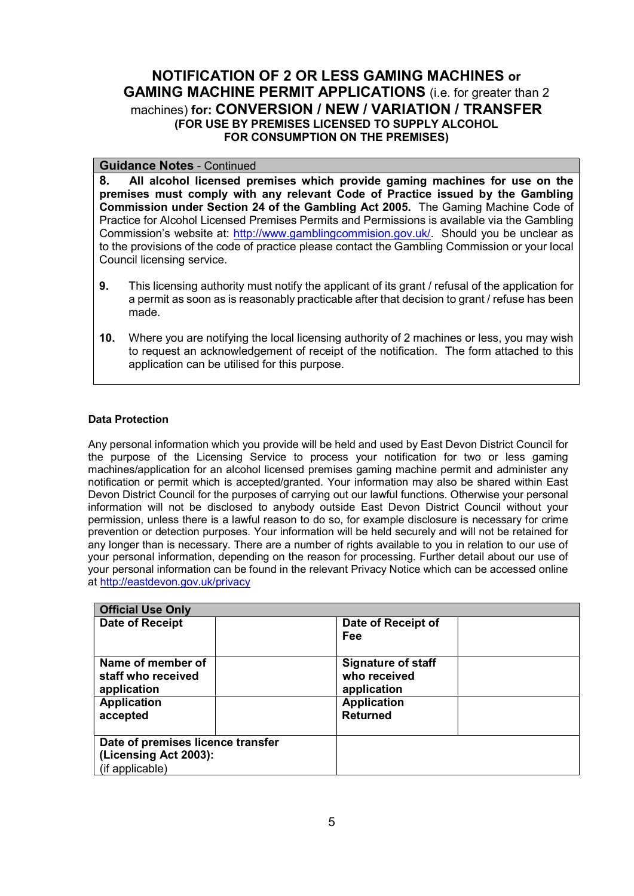#### Guidance Notes - Continued

 8. All alcohol licensed premises which provide gaming machines for use on the premises must comply with any relevant Code of Practice issued by the Gambling Commission under Section 24 of the Gambling Act 2005. The Gaming Machine Code of Practice for Alcohol Licensed Premises Permits and Permissions is available via the Gambling Commission's website at: http://www.gamblingcommision.gov.uk/. Should you be unclear as to the provisions of the code of practice please contact the Gambling Commission or your local Council licensing service.

- **9.** This licensing authority must notify the applicant of its grant / refusal of the application for a permit as soon as is reasonably practicable after that decision to grant / refuse has been made.
- 10. Where you are notifying the local licensing authority of 2 machines or less, you may wish to request an acknowledgement of receipt of the notification. The form attached to this application can be utilised for this purpose.

#### Data Protection

 Any personal information which you provide will be held and used by East Devon District Council for the purpose of the Licensing Service to process your notification for two or less gaming machines/application for an alcohol licensed premises gaming machine permit and administer any notification or permit which is accepted/granted. Your information may also be shared within East Devon District Council for the purposes of carrying out our lawful functions. Otherwise your personal information will not be disclosed to anybody outside East Devon District Council without your permission, unless there is a lawful reason to do so, for example disclosure is necessary for crime prevention or detection purposes. Your information will be held securely and will not be retained for any longer than is necessary. There are a number of rights available to you in relation to our use of your personal information, depending on the reason for processing. Further detail about our use of your personal information can be found in the relevant Privacy Notice which can be accessed online at <http://eastdevon.gov.uk/privacy>

| <b>Official Use Only</b>          |                           |  |
|-----------------------------------|---------------------------|--|
| <b>Date of Receipt</b>            | Date of Receipt of        |  |
|                                   | Fee                       |  |
| Name of member of                 | <b>Signature of staff</b> |  |
| staff who received                | who received              |  |
| application                       | application               |  |
| <b>Application</b>                | <b>Application</b>        |  |
| accepted                          | <b>Returned</b>           |  |
|                                   |                           |  |
| Date of premises licence transfer |                           |  |
| (Licensing Act 2003):             |                           |  |
| (if applicable)                   |                           |  |